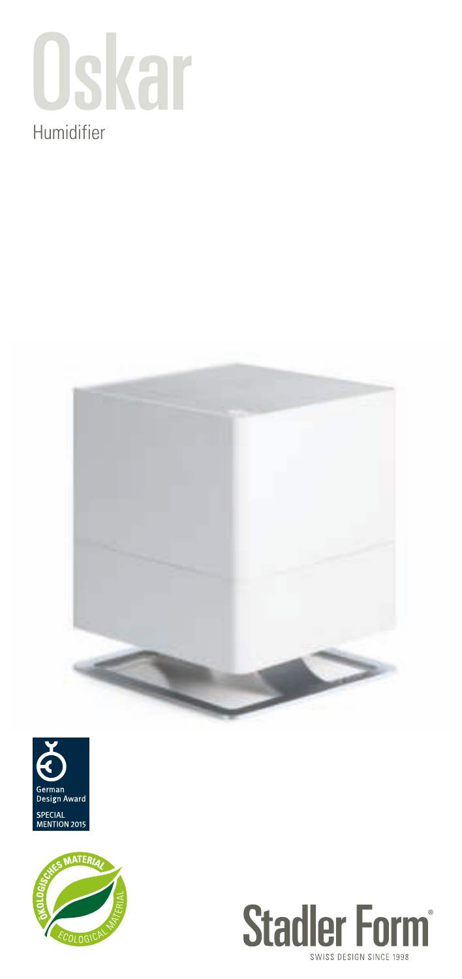

## Humidifier